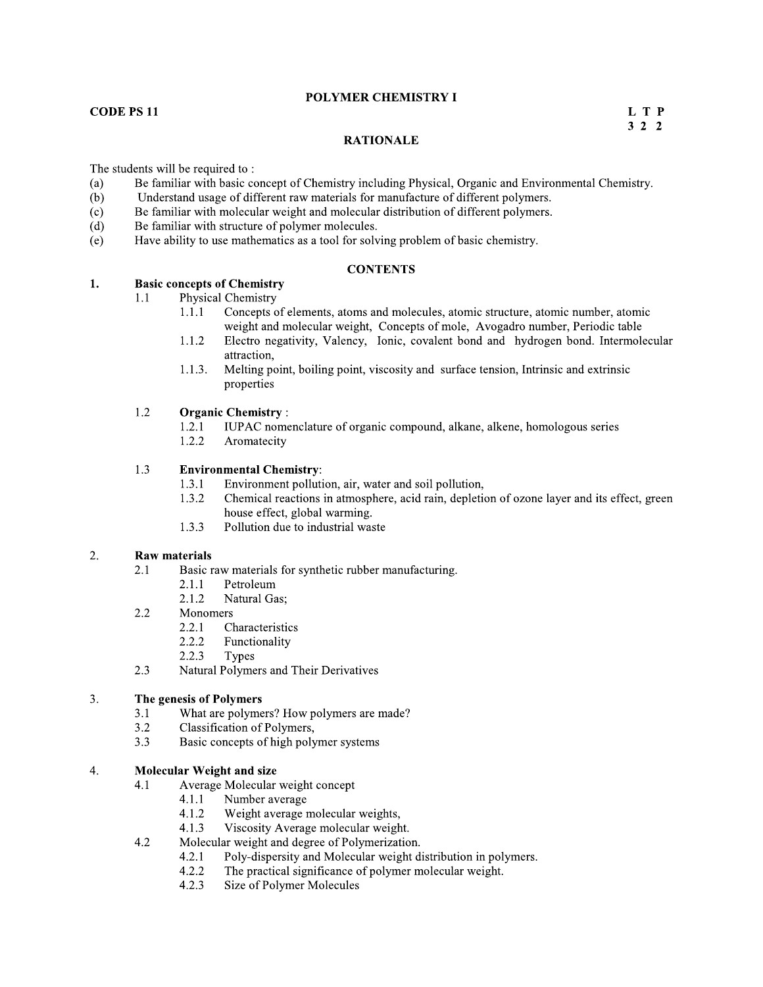### POLYMER CHEMISTRY I

### **CODE PS11**

L T P  $3 \quad 2 \quad 2$ 

### **RATIONALE**

The students will be required to:

- $(a)$ Be familiar with basic concept of Chemistry including Physical, Organic and Environmental Chemistry.
- $(b)$ Understand usage of different raw materials for manufacture of different polymers.
- $(c)$ Be familiar with molecular weight and molecular distribution of different polymers.
- Be familiar with structure of polymer molecules.  $(d)$
- Have ability to use mathematics as a tool for solving problem of basic chemistry.  $(e)$

### **CONTENTS**

#### $1.$ **Basic concepts of Chemistry**

- Physical Chemistry  $1.1$ 
	- $1.1.1$ Concepts of elements, atoms and molecules, atomic structure, atomic number, atomic weight and molecular weight, Concepts of mole, Avogadro number, Periodic table
	- $1.1.2$ Electro negativity, Valency, Ionic, covalent bond and hydrogen bond. Intermolecular attraction.
	- $1.1.3.$ Melting point, boiling point, viscosity and surface tension, Intrinsic and extrinsic properties

#### $1.2$ **Organic Chemistry:**

- $1.2.1$ IUPAC nomenclature of organic compound, alkane, alkene, homologous series
- $1.2.2$ Aromatecity

#### 1.3 **Environmental Chemistry:**

- $1.3.1$ Environment pollution, air, water and soil pollution,
- 1.3.2 Chemical reactions in atmosphere, acid rain, depletion of ozone layer and its effect, green house effect, global warming.
- 1.3.3 Pollution due to industrial waste

#### 2. **Raw materials**

 $2.1$ 

- Basic raw materials for synthetic rubber manufacturing.
	- $2.1.1$ Petroleum
	- Natural Gas: 2.1.2
- $2.2$ Monomers
	- $2.2.1$ Characteristics
	- 2.2.2 Functionality
	- 2.2.3 Types
- 2.3 Natural Polymers and Their Derivatives

#### $3.$ The genesis of Polymers

- What are polymers? How polymers are made?  $3.1$
- $3.2$ Classification of Polymers,
- 3.3 Basic concepts of high polymer systems

#### $4.$ **Molecular Weight and size**

- $4.1$ Average Molecular weight concept
	- $4.1.1$ Number average
	- $4.1.2$ Weight average molecular weights,
	- Viscosity Average molecular weight.  $4.1.3$
- $4.2$ Molecular weight and degree of Polymerization.
	- Poly-dispersity and Molecular weight distribution in polymers.  $4.2.1$
	- $4.2.2$ The practical significance of polymer molecular weight.
	- $4.2.3$ Size of Polymer Molecules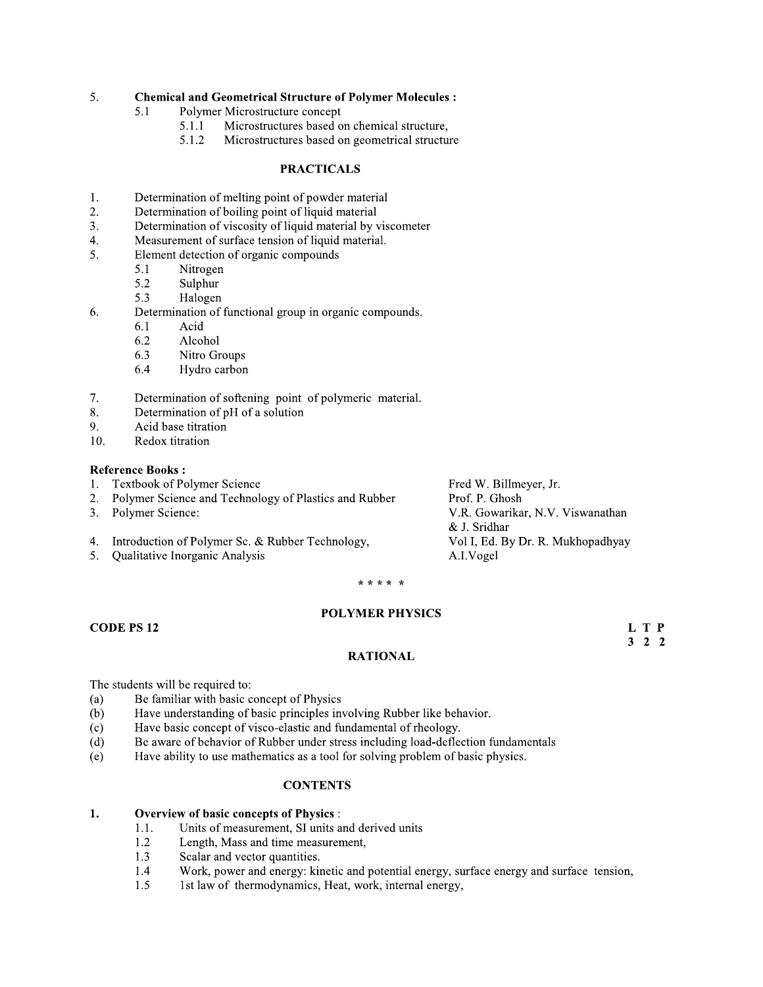#### 5. **Chemical and Geometrical Structure of Polymer Molecules:**

- 5.1 Polymer Microstructure concept
	- $5.1.1$ Microstructures based on chemical structure,
	- $5.1.2$ Microstructures based on geometrical structure

### **PRACTICALS**

- 1. Determination of melting point of powder material
- 2. Determination of boiling point of liquid material
- Determination of viscosity of liquid material by viscometer 3.
- Measurement of surface tension of liquid material.  $4.$
- Element detection of organic compounds 5.
	- 5.1 Nitrogen
	- 5.2 Sulphur
	- 5.3 Halogen
- Determination of functional group in organic compounds. 6.
	- 6.1 Acid
	- 6.2 Alcohol
	- 6.3 Nitro Groups
	- 6.4 Hydro carbon
- Determination of softening point of polymeric material. 7.
- Determination of pH of a solution 8.
- Acid base titration 9.
- 10. Redox titration

### **Reference Books:**

- **Textbook of Polymer Science**  $1.$
- Polymer Science and Technology of Plastics and Rubber  $2.$
- $3.$ Polymer Science:
- Introduction of Polymer Sc. & Rubber Technology,  $4.$
- 5. Qualitative Inorganic Analysis

Fred W. Billmeyer, Jr. Prof. P. Ghosh V.R. Gowarikar, N.V. Viswanathan & J. Sridhar Vol I, Ed. By Dr. R. Mukhopadhyay A.I.Vogel

> L T P  $3 \quad 2 \quad 2$

### \* \* \* \* \*

### **POLYMER PHYSICS**

**CODE PS 12** 

### **RATIONAL**

The students will be required to:

- Be familiar with basic concept of Physics  $(a)$
- Have understanding of basic principles involving Rubber like behavior.  $(b)$
- Have basic concept of visco-elastic and fundamental of rheology.  $(c)$
- $(d)$ Be aware of behavior of Rubber under stress including load-deflection fundamentals
- Have ability to use mathematics as a tool for solving problem of basic physics.  $(e)$

### **CONTENTS**

#### **Overview of basic concepts of Physics:** 1.

- Units of measurement, SI units and derived units  $1.1.$
- 1.2 Length, Mass and time measurement,
- Scalar and vector quantities. 1.3
- 1.4 Work, power and energy: kinetic and potential energy, surface energy and surface tension,
- 1st law of thermodynamics, Heat, work, internal energy, 1.5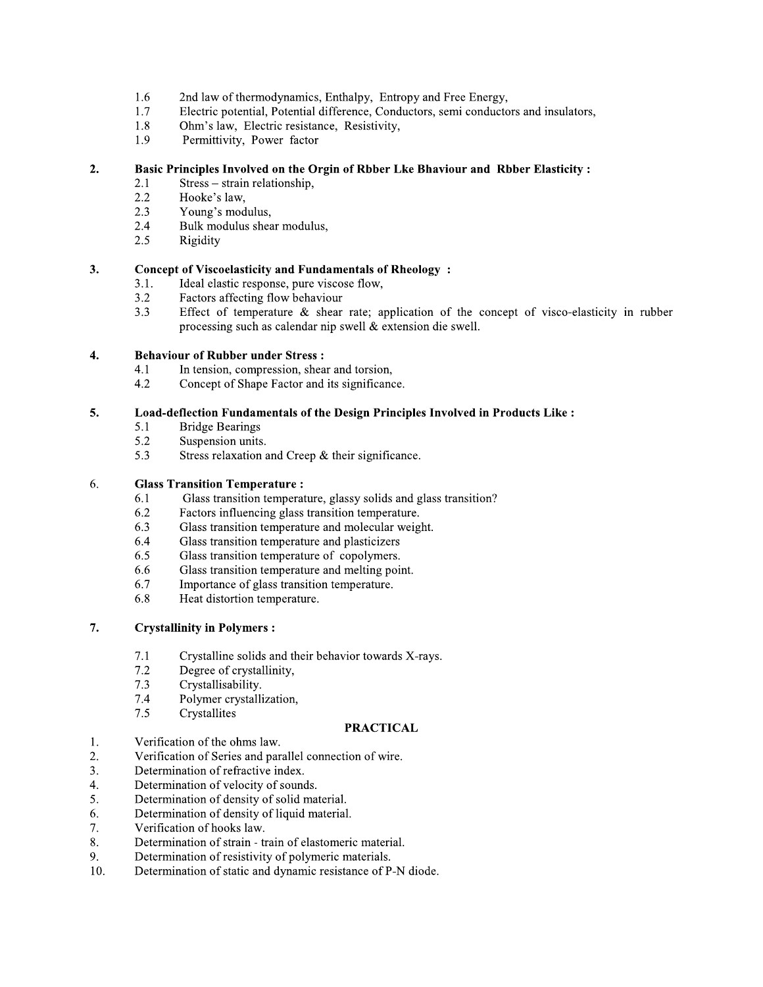- 1.6 2nd law of thermodynamics, Enthalpy, Entropy and Free Energy,
- 1.7 Electric potential, Potential difference, Conductors, semi conductors and insulators,
- 1.8 Ohm's law. Electric resistance. Resistivity.
- 1.9 Permittivity, Power factor

#### $2.$ Basic Principles Involved on the Orgin of Rbber Lke Bhaviour and Rbber Elasticity :

- $2.1$  $Stress - strain relationship,$
- 2.2 Hooke's law,
- $2.3$ Young's modulus,
- Bulk modulus shear modulus, 2.4
- 2.5 Rigidity

#### 3. **Concept of Viscoelasticity and Fundamentals of Rheology:**

- Ideal elastic response, pure viscose flow,  $3.1.$
- Factors affecting flow behaviour  $3.2$
- $3.3$ Effect of temperature  $\&$  shear rate; application of the concept of visco-elasticity in rubber processing such as calendar nip swell & extension die swell.

#### $\boldsymbol{4}$ . **Behaviour of Rubber under Stress:**

- $4.1$ In tension, compression, shear and torsion,
- $4.2$ Concept of Shape Factor and its significance.

#### 5. Load-deflection Fundamentals of the Design Principles Involved in Products Like :

- **Bridge Bearings** 5.1
- Suspension units. 5.2
- 5.3 Stress relaxation and Creep & their significance.

#### 6. **Glass Transition Temperature:**

- Glass transition temperature, glassy solids and glass transition? 6.1
- 6.2 Factors influencing glass transition temperature.
- 6.3 Glass transition temperature and molecular weight.
- 6.4 Glass transition temperature and plasticizers
- Glass transition temperature of copolymers. 6.5
- 6.6 Glass transition temperature and melting point.
- 6.7 Importance of glass transition temperature.
- Heat distortion temperature. 6.8

#### 7. **Crystallinity in Polymers:**

- $7.1$ Crystalline solids and their behavior towards X-rays.
- $7.2$ Degree of crystallinity,
- $7.3$ Crystallisability.
- Polymer crystallization, 7.4
- $7.5$ Crystallites

- 1. Verification of the ohms law.
- Verification of Series and parallel connection of wire. 2.
- $\overline{3}$ . Determination of refractive index.
- $\mathcal{L}_{\cdot}$ Determination of velocity of sounds.
- Determination of density of solid material. 5.
- Determination of density of liquid material. 6.
- Verification of hooks law. 7.
- Determination of strain train of elastomeric material. 8.
- 9. Determination of resistivity of polymeric materials.
- 10. Determination of static and dynamic resistance of P-N diode.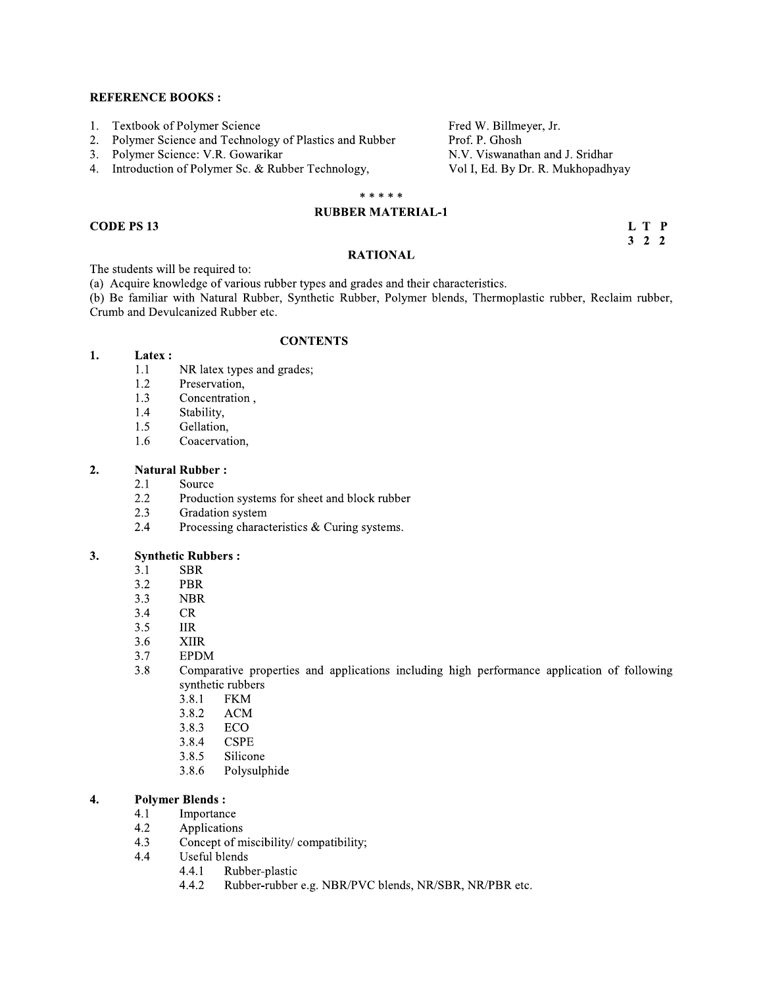- $1.$ Textbook of Polymer Science
- $2.$ Polymer Science and Technology of Plastics and Rubber
- $3.$ Polymer Science: V.R. Gowarikar
- Introduction of Polymer Sc. & Rubber Technology, 4.

### \* \* \* \* \*

Fred W. Billmeyer, Jr.

N.V. Viswanathan and J. Sridhar

Vol I, Ed. By Dr. R. Mukhopadhyay

Prof. P. Ghosh

### **RUBBER MATERIAL-1**

### **CODE PS 13**

L T P  $3 \quad 2 \quad 2$ 

### **RATIONAL**

The students will be required to:

(a) Acquire knowledge of various rubber types and grades and their characteristics.

(b) Be familiar with Natural Rubber, Synthetic Rubber, Polymer blends, Thermoplastic rubber, Reclaim rubber, Crumb and Devulcanized Rubber etc.

### **CONTENTS**

#### 1. Latex:

- $1.1$ NR latex types and grades;
- 1.2 Preservation,
- Concentration, 1.3
- Stability, 1.4
- 1.5 Gellation,
- 1.6 Coacervation,

#### $2.$ **Natural Rubber:**

- $2.1$ Source
- 2.2 Production systems for sheet and block rubber
- 2.3 Gradation system
- 2.4 Processing characteristics & Curing systems.

#### 3. **Synthetic Rubbers:**

- $3.1$ **SBR**
- $3.2$ PBR
- $3.3$ **NBR**
- $3.4$  $CR$
- $3.5$ **IIR**
- 3.6 **XIIR**
- 3.7 **EPDM**
- 3.8 Comparative properties and applications including high performance application of following synthetic rubbers
	- 3.8.1 **FKM**
	- 3.8.2 **ACM**
	- 3.8.3 **ECO**
	- 3.8.4 **CSPE**
	- 3.8.5 Silicone
	- 3.8.6 Polysulphide

#### **Polymer Blends:** 4.

- Importance  $4.1$
- 4.2 Applications
- $4.3$ Concept of miscibility/compatibility;
- Useful blends  $4.4$ 
	- $4.4.1$ Rubber-plastic
	- Rubber-rubber e.g. NBR/PVC blends, NR/SBR, NR/PBR etc. 4.4.2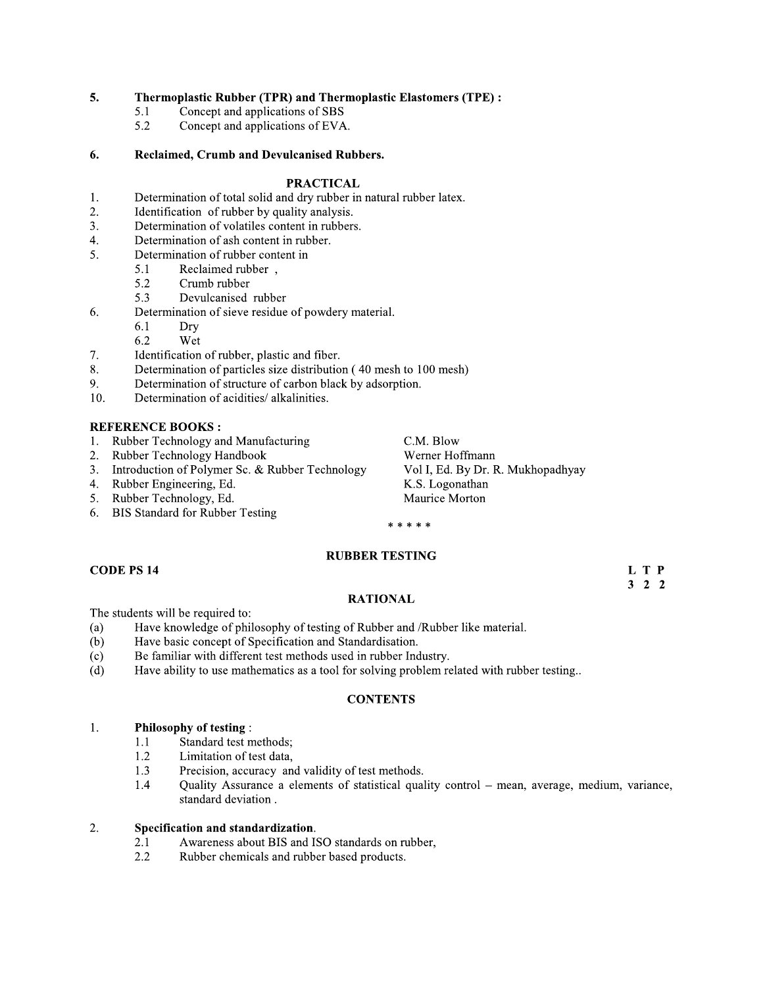#### 5. **Thermoplastic Rubber (TPR) and Thermoplastic Elastomers (TPE):**

- Concept and applications of SBS 5.1
- 5.2 Concept and applications of EVA.

#### Reclaimed, Crumb and Devulcanised Rubbers. 6.

### **PRACTICAL**

- 1. Determination of total solid and dry rubber in natural rubber latex.
- 2. Identification of rubber by quality analysis.
- Determination of volatiles content in rubbers. 3.
- $4.$ Determination of ash content in rubber.
- 5. Determination of rubber content in
	- 5.1 Reclaimed rubber,
	- 5.2 Crumb rubber
	- 5.3 Devulcanised rubber
- Determination of sieve residue of powdery material. 6.
	- 6.1 Dry
	- 6.2 Wet
- 7. Identification of rubber, plastic and fiber.
- 8. Determination of particles size distribution (40 mesh to 100 mesh)
- 9. Determination of structure of carbon black by adsorption.
- 10. Determination of acidities/ alkalinities.

### **REFERENCE BOOKS:**

- Rubber Technology and Manufacturing  $1<sup>1</sup>$
- Rubber Technology Handbook  $2.$
- Introduction of Polymer Sc. & Rubber Technology  $3.$
- Rubber Engineering, Ed.  $4.$
- $5.$ Rubber Technology, Ed.
- **BIS Standard for Rubber Testing** 6.

C.M. Blow Werner Hoffmann Vol I, Ed. By Dr. R. Mukhopadhyay K.S. Logonathan Maurice Morton

### \* \* \* \* \*

### **RUBBER TESTING**

### **CODE PS 14**

L T P  $3 \quad 2 \quad 2$ 

### **RATIONAL**

The students will be required to:

- Have knowledge of philosophy of testing of Rubber and /Rubber like material.  $(a)$
- Have basic concept of Specification and Standardisation.  $(b)$
- Be familiar with different test methods used in rubber Industry.  $(c)$
- $(d)$ Have ability to use mathematics as a tool for solving problem related with rubber testing..

### **CONTENTS**

#### 1. **Philosophy of testing:**

- Standard test methods; 1.1
- 1.2 Limitation of test data,
- $1.3$ Precision, accuracy and validity of test methods.
- 1.4 Quality Assurance a elements of statistical quality control - mean, average, medium, variance, standard deviation.

#### 2. Specification and standardization.

- Awareness about BIS and ISO standards on rubber, 2.1
- Rubber chemicals and rubber based products.  $2.2$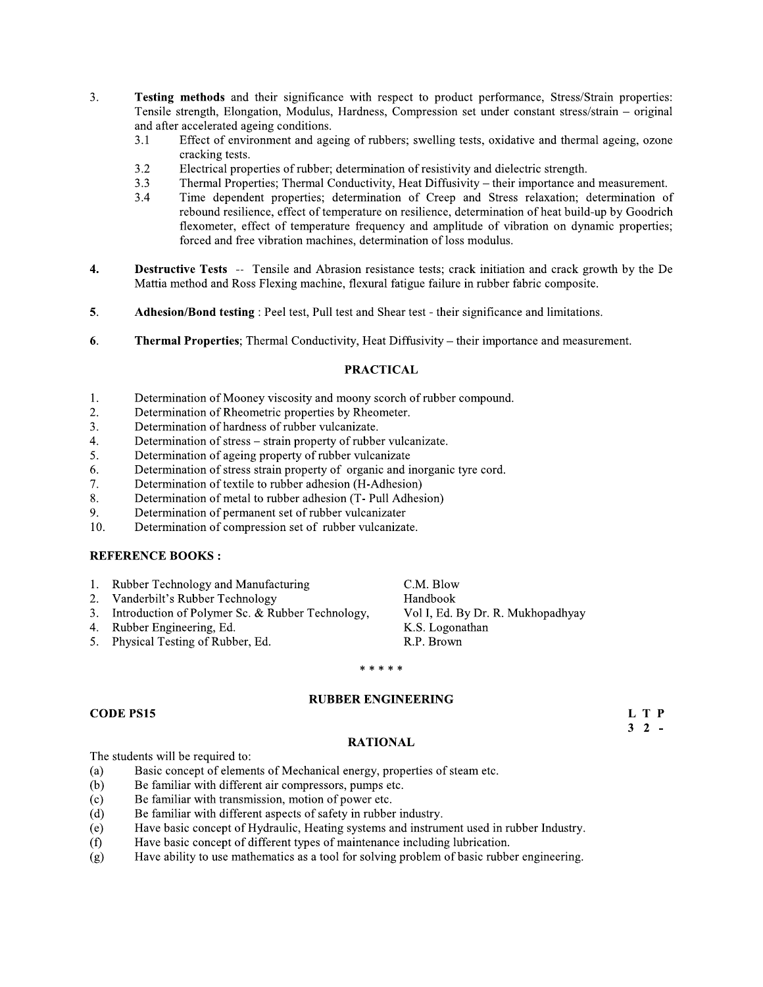- 3. Testing methods and their significance with respect to product performance, Stress/Strain properties: Tensile strength, Elongation, Modulus, Hardness, Compression set under constant stress/strain – original and after accelerated ageing conditions.
	- $3.1$ Effect of environment and ageing of rubbers; swelling tests, oxidative and thermal ageing, ozone cracking tests.
	- $3.2$ Electrical properties of rubber; determination of resistivity and dielectric strength.
	- Thermal Properties; Thermal Conductivity, Heat Diffusivity their importance and measurement.  $3.3$
	- Time dependent properties; determination of Creep and Stress relaxation; determination of  $3.4$ rebound resilience, effect of temperature on resilience, determination of heat build-up by Goodrich flexometer, effect of temperature frequency and amplitude of vibration on dynamic properties; forced and free vibration machines, determination of loss modulus.
- $\boldsymbol{4}$ . **Destructive Tests** -- Tensile and Abrasion resistance tests; crack initiation and crack growth by the De Mattia method and Ross Flexing machine, flexural fatigue failure in rubber fabric composite.
- 5. **Adhesion/Bond testing:** Peel test, Pull test and Shear test - their significance and limitations.
- 6. Thermal Properties; Thermal Conductivity, Heat Diffusivity – their importance and measurement.

### **PRACTICAL**

- Determination of Mooney viscosity and moony scorch of rubber compound.  $1.$
- Determination of Rheometric properties by Rheometer. 2.
- Determination of hardness of rubber vulcanizate. 3.
- Determination of stress strain property of rubber vulcanizate.  $\overline{4}$ .
- Determination of ageing property of rubber vulcanizate 5.
- Determination of stress strain property of organic and inorganic tyre cord. 6.
- Determination of textile to rubber adhesion (H-Adhesion) 7.
- Determination of metal to rubber adhesion (T- Pull Adhesion) 8.
- 9. Determination of permanent set of rubber vulcanizater
- 10. Determination of compression set of rubber vulcanizate.

### **REFERENCE BOOKS:**

- Rubber Technology and Manufacturing  $1.$
- Vanderbilt's Rubber Technology  $2.$
- 3. Introduction of Polymer Sc. & Rubber Technology,
- 4. Rubber Engineering, Ed.
- 5. Physical Testing of Rubber, Ed.

C.M. Blow Handbook Vol I, Ed. By Dr. R. Mukhopadhyay K.S. Logonathan R.P. Brown

### \* \* \* \* \*

### **RUBBER ENGINEERING**

### **CODE PS15**

L T P  $3 \t2$  -

### **RATIONAL**

The students will be required to:

- $(a)$ Basic concept of elements of Mechanical energy, properties of steam etc.
- $(b)$ Be familiar with different air compressors, pumps etc.
- Be familiar with transmission, motion of power etc.  $(c)$
- Be familiar with different aspects of safety in rubber industry.  $(d)$
- Have basic concept of Hydraulic, Heating systems and instrument used in rubber Industry.  $(e)$
- Have basic concept of different types of maintenance including lubrication.  $(f)$
- Have ability to use mathematics as a tool for solving problem of basic rubber engineering.  $(g)$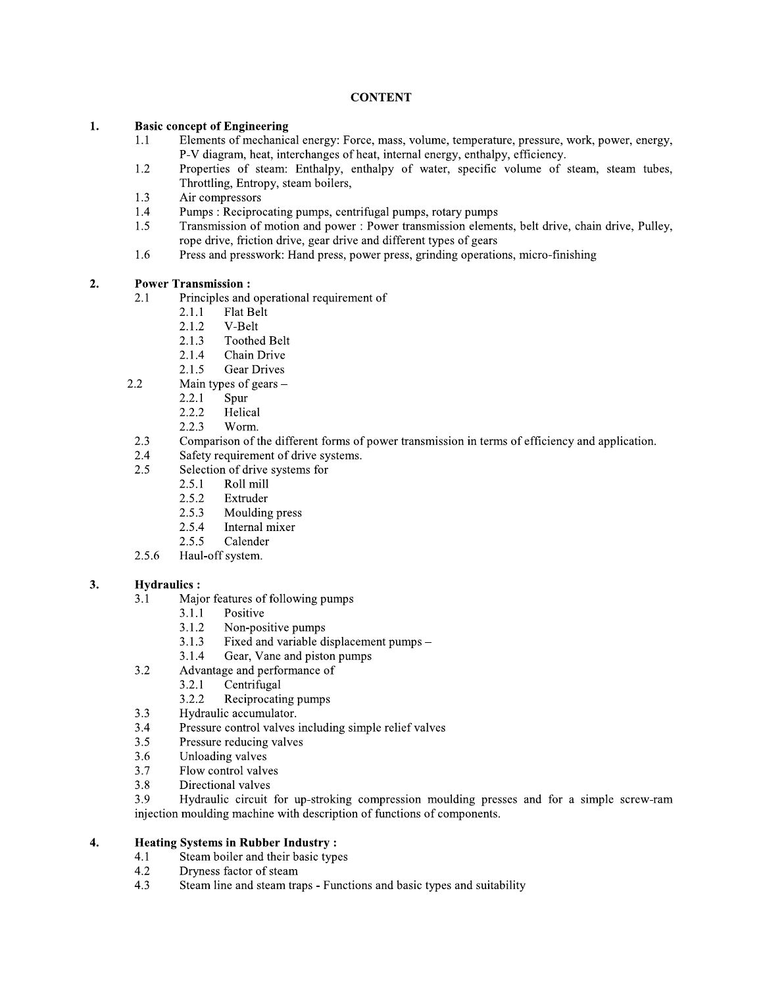### **CONTENT**

#### 1. **Basic concept of Engineering**

- $1.1$ Elements of mechanical energy: Force, mass, volume, temperature, pressure, work, power, energy, P-V diagram, heat, interchanges of heat, internal energy, enthalpy, efficiency.
- Properties of steam: Enthalpy, enthalpy of water, specific volume of steam, steam tubes, 1.2 Throttling, Entropy, steam boilers,
- 1.3 Air compressors
- 1.4 Pumps: Reciprocating pumps, centrifugal pumps, rotary pumps
- Transmission of motion and power : Power transmission elements, belt drive, chain drive, Pulley, 1.5 rope drive, friction drive, gear drive and different types of gears
- Press and presswork: Hand press, power press, grinding operations, micro-finishing 1.6

#### $2.$ **Power Transmission:**

- Principles and operational requirement of  $2.1$ 
	- $2.1.1$ Flat Belt
	- $2.1.2$ V-Belt
	- $2.1.3$ **Toothed Belt**
	- 2.1.4 Chain Drive
	- 2.1.5 **Gear Drives**
- 2.2 Main types of gears -
	- Spur 2.2.1
	- 2.2.2 Helical
	- $2.2.3$ Worm.
- 2.3 Comparison of the different forms of power transmission in terms of efficiency and application.
- Safety requirement of drive systems. 2.4
- Selection of drive systems for 2.5
	- $2.5.1$ Roll mill
		- 2.5.2 Extruder
		- 2.5.3 Moulding press
		- 2.5.4 Internal mixer
		- $2.5.5$ Calender
- 2.5.6 Haul-off system.

#### $3.$ **Hydraulics:**

- Major features of following pumps  $3.1$ 
	- $3.1.1$ Positive
	- Non-positive pumps 3.1.2
	- Fixed and variable displacement pumps  $3.1.3$
	- Gear, Vane and piston pumps 3.1.4
- Advantage and performance of  $3.2$ 
	- $3.2.1$ Centrifugal
	- $3.2.2$ Reciprocating pumps
- Hydraulic accumulator.  $3.3$
- $3.4$ Pressure control valves including simple relief valves
- $3.5$ Pressure reducing valves
- Unloading valves 3.6
- 3.7 Flow control valves
- 3.8 Directional valves

3.9 Hydraulic circuit for up-stroking compression moulding presses and for a simple screw-ram injection moulding machine with description of functions of components.

#### $\overline{4}$ . **Heating Systems in Rubber Industry:**

- Steam boiler and their basic types  $4.1$
- $4.2$ Dryness factor of steam
- Steam line and steam traps Functions and basic types and suitability 4.3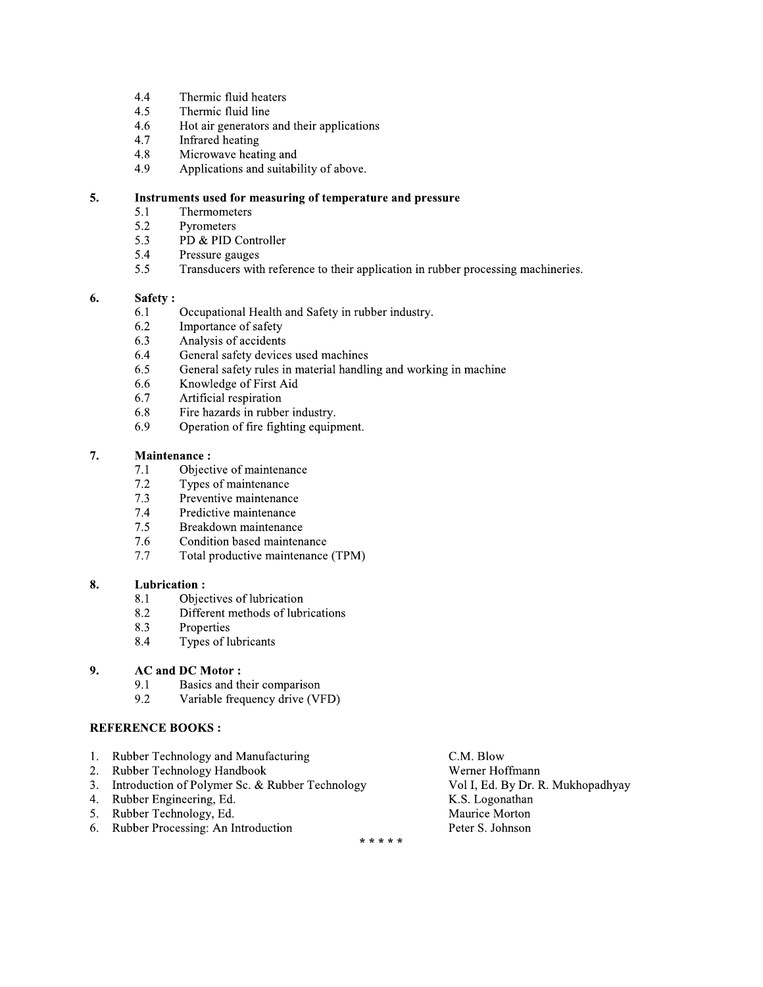- $4,4$ Thermic fluid heaters
- $4.5$ Thermic fluid line
- 4.6 Hot air generators and their applications
- 4.7 Infrared heating
- 4.8 Microwave heating and
- 4.9 Applications and suitability of above.

#### 5. Instruments used for measuring of temperature and pressure

- $5.1$ Thermometers
- 5.2 Pyrometers
- 5.3 PD & PID Controller
- 5.4 Pressure gauges
- 5.5 Transducers with reference to their application in rubber processing machineries.

#### 6. Safety:

- Occupational Health and Safety in rubber industry. 6.1
- 6.2 Importance of safety
- 6.3 Analysis of accidents
- 6.4 General safety devices used machines
- 6.5 General safety rules in material handling and working in machine
- 6.6 Knowledge of First Aid
- 6.7 Artificial respiration
- 6.8 Fire hazards in rubber industry.
- 6.9 Operation of fire fighting equipment.

#### **Maintenance:** 7.

- Objective of maintenance  $7.1$
- $7.2$ Types of maintenance
- Preventive maintenance  $7.3$
- 7.4 Predictive maintenance
- $7.5$ Breakdown maintenance
- 7.6 Condition based maintenance
- $7.7$ Total productive maintenance (TPM)

#### 8. **Lubrication:**

- Objectives of lubrication 8.1
- 8.2 Different methods of lubrications
- 8.3 Properties
- Types of lubricants 8.4

#### 9. **AC and DC Motor:**

- 9.1 Basics and their comparison
- 9.2 Variable frequency drive (VFD)

### **REFERENCE BOOKS:**

- $1.$ Rubber Technology and Manufacturing
- $2.$ Rubber Technology Handbook
- $3.$ Introduction of Polymer Sc. & Rubber Technology
- 4. Rubber Engineering, Ed.
- 5. Rubber Technology, Ed.
- 6. Rubber Processing: An Introduction

C.M. Blow Werner Hoffmann Vol I, Ed. By Dr. R. Mukhopadhyay K.S. Logonathan Maurice Morton Peter S. Johnson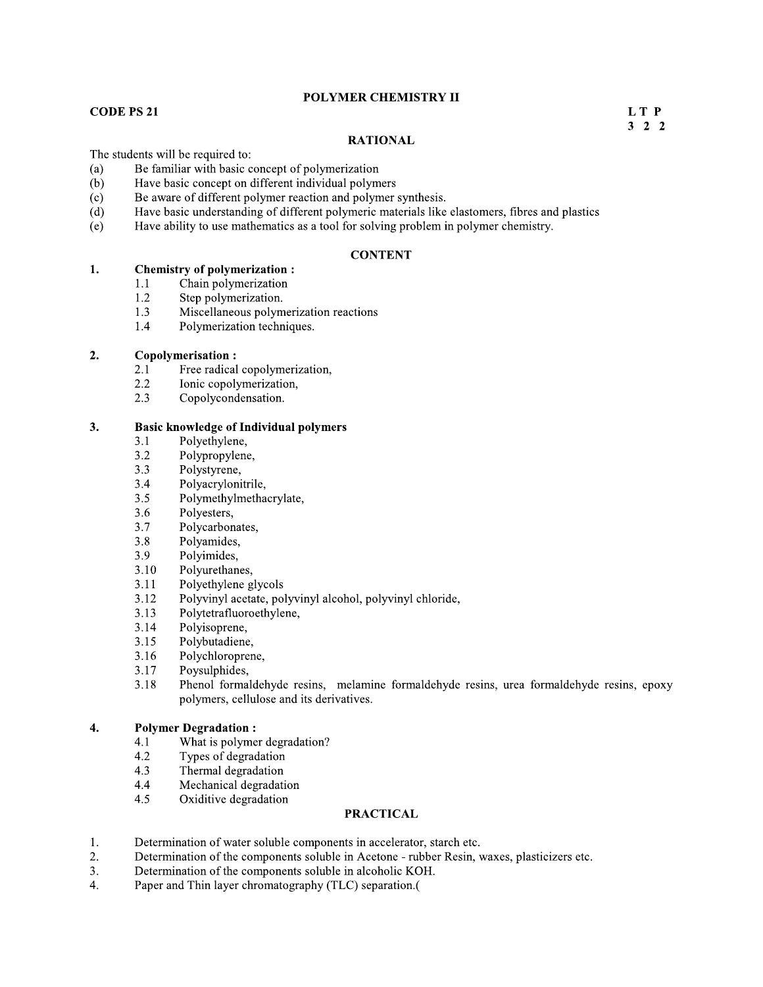## POLYMER CHEMISTRY II

# $\overline{L}$

 $LT P$ <br>3 2 2  $3\ 2\ 2$ 

### **KATIONAL**

- 
- 
- 
- **FOLYMER CHEMISTRY II**<br> **FOLYMER CHEMISTRY II**<br>
The students will be required to:<br>
(a) Be familiar with basic concept of polymerization<br>
(b) Have basic concept on different individual polymers<br>
(c) Be aware of different po
	-

- 
- 
- 
- 

# 2. **Copolymerisation :**<br>2.1 Free radical

- 2.1 Free radical copolymerization,<br>2.2 Ionic copolymerization,
- 2.2 Ionic copolymerization,<br>2.3 Copolycondensation.
- Copolycondensation.

### 3. 3. Basic knowledge of Individual polymers

- 3.1 Polyethylene,<br>3.2 Polypropylene
- 3.2 Polypropylene,<br>3.3 Polystyrene,
- 3.3 Polystyrene,<br>3.4 Polyacryloni
- 3.4 Polyacrylonitrile,<br>3.5 Polymethylmetha
- 3.5 Polymethylmethacrylate,<br>3.6 Polyesters,
- 3.6 Polyesters,<br>3.7 Polycarbon
- 3.7 Polycarbonates,<br>3.8 Polyamides,
- 3.8 Polyamides,<br>3.9 Polyimides,
- 3.9 Polyimides,<br>3.10 Polyurethan
- 3.10 Polyurethanes,<br>3.11 Polyethylene g
- 3.11 Polyethylene glycols<br>3.12 Polyvinyl acetate, po
- 3.12 Polyvinyl acetate, polyvinyl alcohol, polyvinyl chloride,<br>3.13 Polytetrafluoroethylene.
- 3.13 Polytetrafluoroethylene,<br>3.14 Polyisoprene,
- 3.14 Polyisoprene,<br>3.15 Polybutadiene
- 3.15 Polybutadiene,<br>3.16 Polychloropren
- 3.16 Polychloroprene,<br>3.17 Poysulphides,
- 3.17 Poysulphides,<br>3.18 Phenol forma
- Phenol formaldehyde resins, melamine formaldehyde resins, urea formaldehyde resins, epoxy polymers, cellulose and its derivatives.

### $\overline{4}$ . **Polymer Degradation :**<br>4.1 What is polyme

- 4.1 What is polymer degradation?<br>4.2 Types of degradation
- 4.2 Types of degradation<br>4.3 Thermal degradation
- 4.3 Thermal degradation<br>4.4 Mechanical degradati
- 4.4 Mechanical degradation<br>4.5 Oxiditive degradation
- Oxiditive degradation

- $1.$
- F1. What is polymer degradation?<br>F1. What is polymer degradation<br>4.2 Types of degradation<br>4.5 Oxiditive degradation<br>4.5 Oxiditive degradation<br>**PRACTICAL**<br>1. Determination of water soluble components in accelerator, starch
	-
	-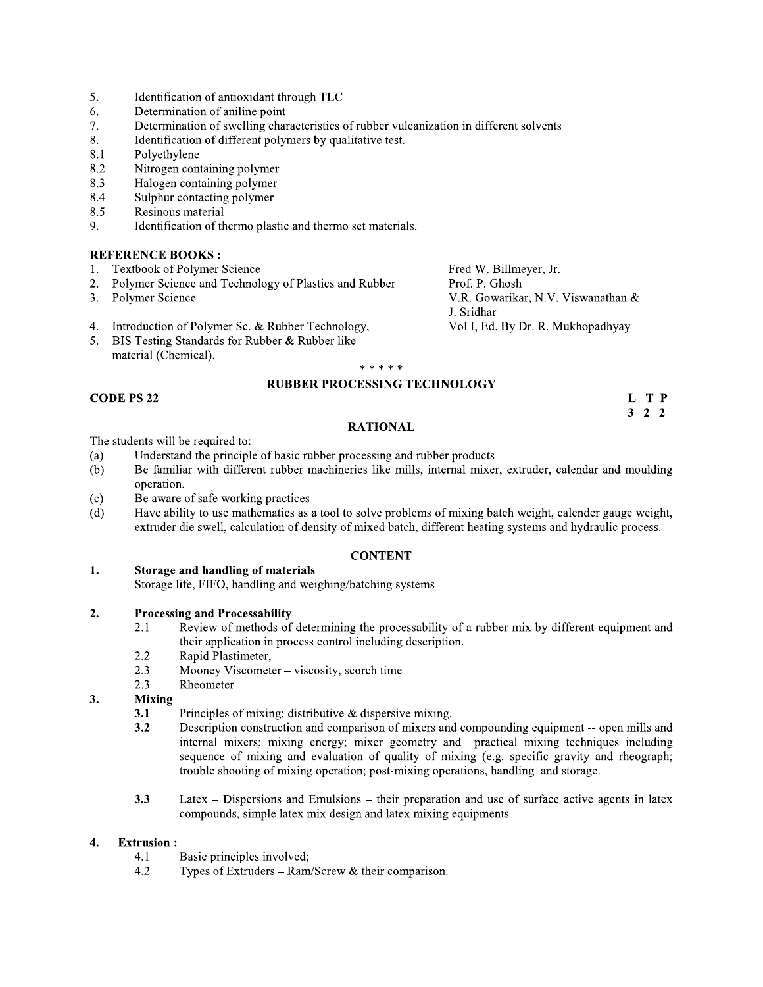- 5. Identification of antioxidant through TLC
- 6. Determination of aniline point
- 7. Determination of swelling characteristics of rubber vulcanization in different solvents
- 8. Identification of different polymers by qualitative test.
- 8.1 Polyethylene
- 8.2 Nitrogen containing polymer
- Halogen containing polymer 8.3
- 8.4 Sulphur contacting polymer
- 8.5 Resinous material
- Identification of thermo plastic and thermo set materials. 9.

- **Textbook of Polymer Science**  $1.$
- $2.$ Polymer Science and Technology of Plastics and Rubber
- $3<sub>1</sub>$ Polymer Science

Fred W. Billmeyer, Jr. Prof. P. Ghosh V.R. Gowarikar, N.V. Viswanathan & J. Sridhar Vol I, Ed. By Dr. R. Mukhopadhyay

- 4. Introduction of Polymer Sc. & Rubber Technology,
- 5. BIS Testing Standards for Rubber & Rubber like material (Chemical).

### \* \* \* \* \* **RUBBER PROCESSING TECHNOLOGY**

### **CODE PS 22**

### **RATIONAL**

The students will be required to:

- Understand the principle of basic rubber processing and rubber products  $(a)$
- Be familiar with different rubber machineries like mills, internal mixer, extruder, calendar and moulding  $(b)$ operation.
- $(c)$ Be aware of safe working practices
- Have ability to use mathematics as a tool to solve problems of mixing batch weight, calender gauge weight,  $(d)$ extruder die swell, calculation of density of mixed batch, different heating systems and hydraulic process.

### **CONTENT**

1. Storage and handling of materials

Storage life, FIFO, handling and weighing/batching systems

#### **Processing and Processability**  $2.$

- Review of methods of determining the processability of a rubber mix by different equipment and 2.1 their application in process control including description.
- $2.2$ Rapid Plastimeter,
- $2.3$ Mooney Viscometer - viscosity, scorch time
- $2.3$ Rheometer

#### 3. **Mixing**

- Principles of mixing; distributive  $\&$  dispersive mixing.  $3.1$
- $3.2$ Description construction and comparison of mixers and compounding equipment -- open mills and internal mixers; mixing energy; mixer geometry and practical mixing techniques including sequence of mixing and evaluation of quality of mixing (e.g. specific gravity and rheograph; trouble shooting of mixing operation; post-mixing operations, handling and storage.
- Latex Dispersions and Emulsions their preparation and use of surface active agents in latex  $3.3$ compounds, simple latex mix design and latex mixing equipments

#### $\overline{4}$ . **Extrusion:**

- $4.1$ Basic principles involved;
- 4.2 Types of Extruders – Ram/Screw & their comparison.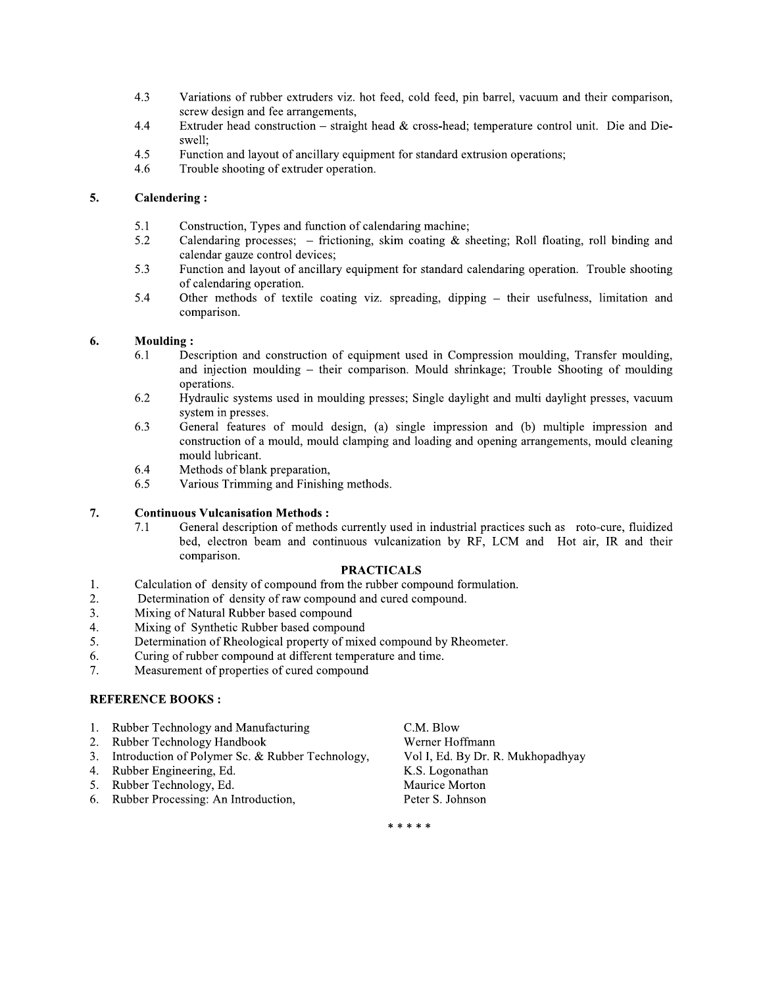- 4.3 Variations of rubber extruders viz. hot feed, cold feed, pin barrel, vacuum and their comparison, screw design and fee arrangements,
- 4.4 Extruder head construction – straight head & cross-head; temperature control unit. Die and Dieswell:
- $4.5$ Function and layout of ancillary equipment for standard extrusion operations;
- Trouble shooting of extruder operation. 4.6

#### 5. **Calendering:**

- 5.1 Construction, Types and function of calendaring machine;
- Calendaring processes;  $-$  frictioning, skim coating & sheeting; Roll floating, roll binding and 5.2 calendar gauze control devices;
- 5.3 Function and layout of ancillary equipment for standard calendaring operation. Trouble shooting of calendaring operation.
- 5.4 Other methods of textile coating viz. spreading, dipping – their usefulness, limitation and comparison.

#### 6. **Moulding:**

- 6.1 Description and construction of equipment used in Compression moulding, Transfer moulding, and injection moulding – their comparison. Mould shrinkage; Trouble Shooting of moulding operations.
- 6.2 Hydraulic systems used in moulding presses; Single daylight and multi daylight presses, vacuum system in presses.
- 6.3 General features of mould design, (a) single impression and (b) multiple impression and construction of a mould, mould clamping and loading and opening arrangements, mould cleaning mould lubricant.
- 6.4 Methods of blank preparation,
- Various Trimming and Finishing methods. 6.5

#### 7. **Continuous Vulcanisation Methods:**

General description of methods currently used in industrial practices such as roto-cure, fluidized  $7.1$ bed, electron beam and continuous vulcanization by RF, LCM and Hot air, IR and their comparison.

### **PRACTICALS**

- 1. Calculation of density of compound from the rubber compound formulation.
- 2. Determination of density of raw compound and cured compound.
- Mixing of Natural Rubber based compound  $3.$
- Mixing of Synthetic Rubber based compound  $4.$
- Determination of Rheological property of mixed compound by Rheometer. 5.
- Curing of rubber compound at different temperature and time. 6.
- Measurement of properties of cured compound 7.

### **REFERENCE BOOKS:**

- Rubber Technology and Manufacturing  $1.$
- Rubber Technology Handbook  $2.$
- Introduction of Polymer Sc. & Rubber Technology,  $3.$
- $4<sub>1</sub>$ Rubber Engineering, Ed.
- $5.$ Rubber Technology, Ed.
- Rubber Processing: An Introduction, 6.

C.M. Blow Werner Hoffmann Vol I, Ed. By Dr. R. Mukhopadhyay K.S. Logonathan Maurice Morton Peter S. Johnson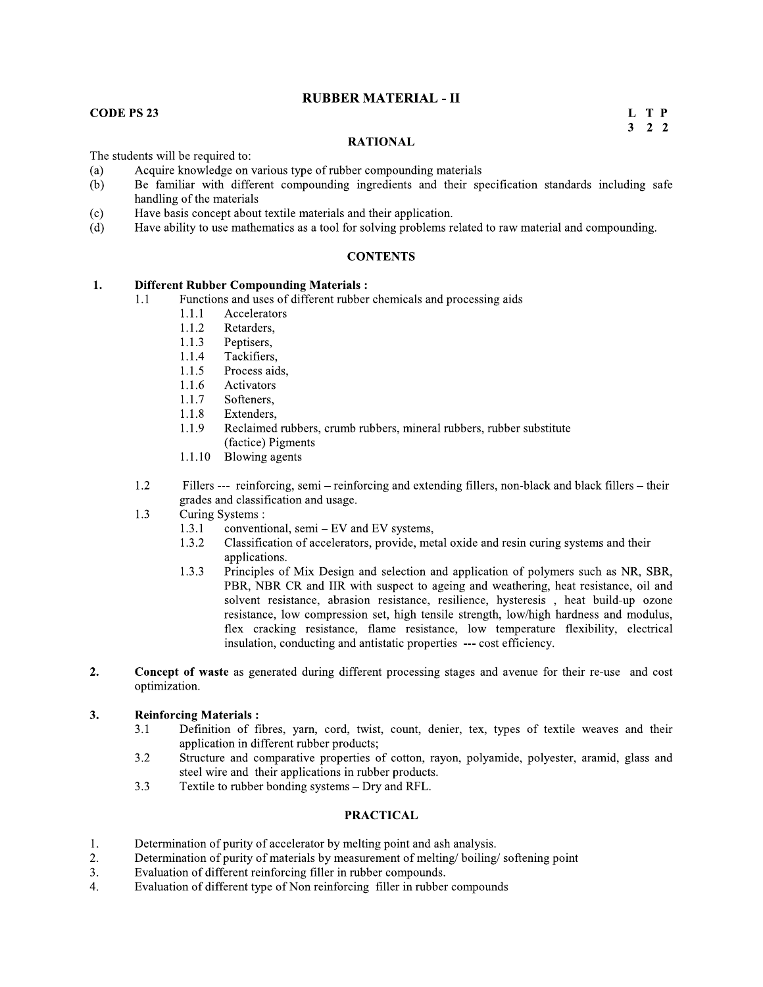### **RUBBER MATERIAL - II**

### **CODE PS 23**

L T P  $3 \quad 2 \quad 2$ 

### **RATIONAL**

The students will be required to:

- $(a)$ Acquire knowledge on various type of rubber compounding materials
- Be familiar with different compounding ingredients and their specification standards including safe  $(b)$ handling of the materials
- Have basis concept about textile materials and their application.  $(c)$
- $(d)$ Have ability to use mathematics as a tool for solving problems related to raw material and compounding.

### **CONTENTS**

#### 1. **Different Rubber Compounding Materials:**

- Functions and uses of different rubber chemicals and processing aids  $1.1$ 
	- Accelerators  $1.1.1$
	- $1.1.2$ Retarders,
	- 1.1.3 Peptisers,
	- Tackifiers. 1.1.4
	- $1.1.5$ Process aids,
	- 1.1.6 Activators
	- 1.1.7 Softeners.
	- $1.1.8$ Extenders.
	- 1.1.9 Reclaimed rubbers, crumb rubbers, mineral rubbers, rubber substitute (factice) Pigments
	- Blowing agents 1.1.10
- 1.2 Fillers --- reinforcing, semi – reinforcing and extending fillers, non-black and black fillers – their grades and classification and usage.
- $1.3$ Curing Systems:
	- 1.3.1 conventional, semi - EV and EV systems,
	- Classification of accelerators, provide, metal oxide and resin curing systems and their 1.3.2 applications.
	- Principles of Mix Design and selection and application of polymers such as NR, SBR,  $1.3.3$ PBR, NBR CR and IIR with suspect to ageing and weathering, heat resistance, oil and solvent resistance, abrasion resistance, resilience, hysteresis, heat build-up ozone resistance, low compression set, high tensile strength, low/high hardness and modulus, flex cracking resistance, flame resistance, low temperature flexibility, electrical insulation, conducting and antistatic properties --- cost efficiency.
- $2.$ Concept of waste as generated during different processing stages and avenue for their re-use and cost optimization.

#### $3.$ **Reinforcing Materials:**

- $3.1$ Definition of fibres, yarn, cord, twist, count, denier, tex, types of textile weaves and their application in different rubber products;
- Structure and comparative properties of cotton, rayon, polyamide, polyester, aramid, glass and  $3.2$ steel wire and their applications in rubber products.
- Textile to rubber bonding systems Dry and RFL.  $3.3$

- Determination of purity of accelerator by melting point and ash analysis. 1.
- Determination of purity of materials by measurement of melting/boiling/softening point  $2.$
- Evaluation of different reinforcing filler in rubber compounds. 3.
- Evaluation of different type of Non reinforcing filler in rubber compounds  $4.$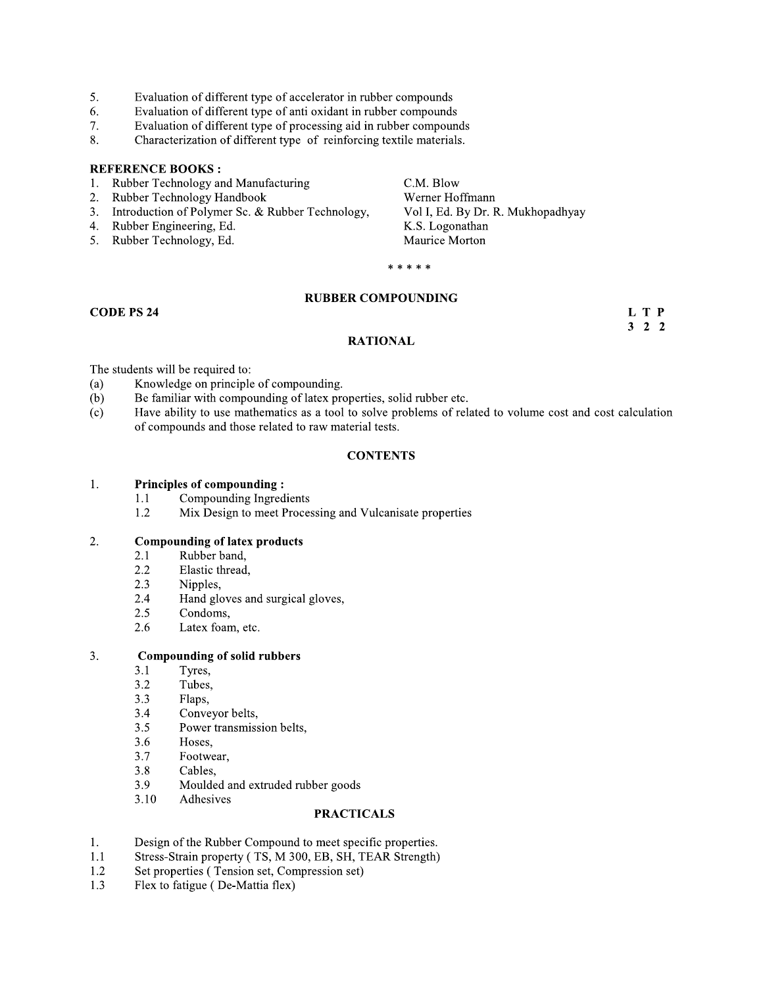- 5. Evaluation of different type of accelerator in rubber compounds
- Evaluation of different type of anti oxidant in rubber compounds 6.
- 7. Evaluation of different type of processing aid in rubber compounds
- Characterization of different type of reinforcing textile materials. 8.

- Rubber Technology and Manufacturing  $\mathbf{1}$ .
- Rubber Technology Handbook 2.
- $3.$ Introduction of Polymer Sc. & Rubber Technology,
- 4. Rubber Engineering, Ed.
- 5. Rubber Technology, Ed.

C.M. Blow Werner Hoffmann Vol I, Ed. By Dr. R. Mukhopadhyay K.S. Logonathan Maurice Morton

 $***$ 

### **RUBBER COMPOUNDING**

### **CODE PS 24**

L T P  $3 \quad 2 \quad 2$ 

### **RATIONAL**

The students will be required to:

- Knowledge on principle of compounding.  $(a)$
- Be familiar with compounding of latex properties, solid rubber etc.  $(b)$
- $(c)$ Have ability to use mathematics as a tool to solve problems of related to volume cost and cost calculation of compounds and those related to raw material tests.

### **CONTENTS**

#### $1.$ **Principles of compounding:**

- Compounding Ingredients  $1.1$
- 1.2 Mix Design to meet Processing and Vulcanisate properties

#### **Compounding of latex products** 2.

- Rubber band, 2.1
- $2.2$ Elastic thread,
- $2.3$ Nipples,
- 2.4 Hand gloves and surgical gloves,
- $2.5$ Condoms.
- Latex foam, etc. 2.6

#### **Compounding of solid rubbers** 3.

- $3.1$ Tyres,
- $3.2$ Tubes.
- $3.3$ Flaps,
- Conveyor belts,  $3.4$
- $3.5$ Power transmission belts,
- 3.6 Hoses,
- $3.7$ Footwear,
- 3.8 Cables.
- 3.9 Moulded and extruded rubber goods
- 3.10 Adhesives

- Design of the Rubber Compound to meet specific properties.  $1.$
- Stress-Strain property (TS, M 300, EB, SH, TEAR Strength)  $1.1$
- Set properties (Tension set, Compression set) 1.2
- Flex to fatigue (De-Mattia flex) 1.3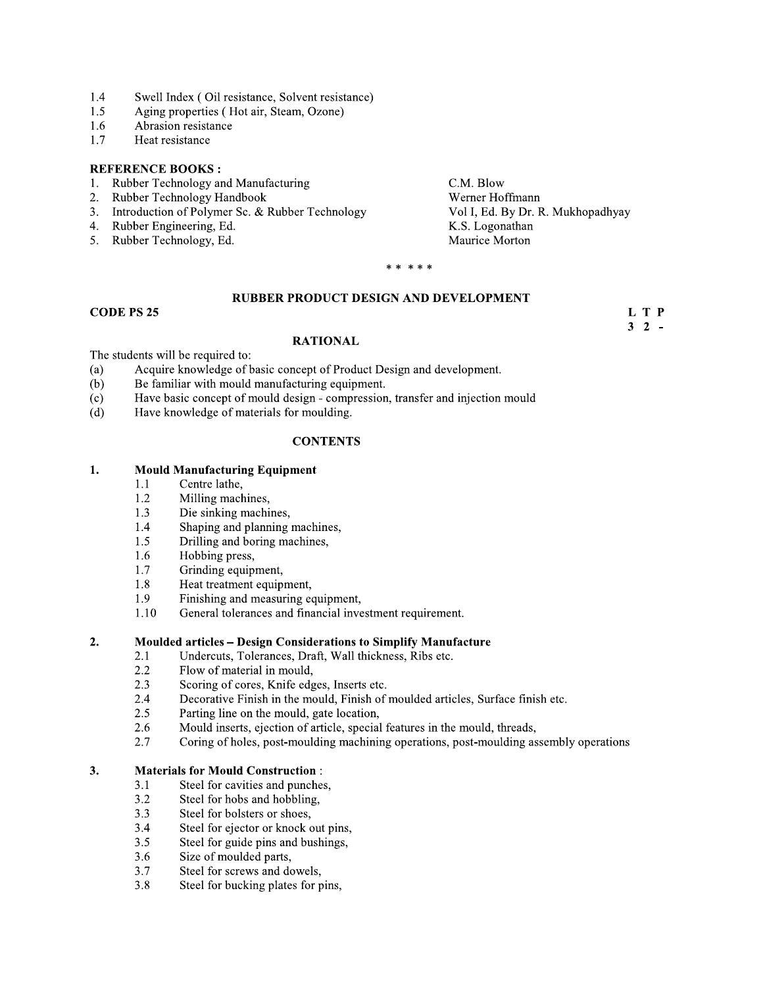- 1.4 Swell Index (Oil resistance, Solvent resistance)
- $1.5$ Aging properties (Hot air, Steam, Ozone)
- 1.6 Abrasion resistance
- $1.7$ Heat resistance

- 1. Rubber Technology and Manufacturing
- Rubber Technology Handbook 2.
- $3.$ Introduction of Polymer Sc. & Rubber Technology
- 4. Rubber Engineering, Ed.
- 5. Rubber Technology, Ed.

C.M. Blow Werner Hoffmann Vol I, Ed. By Dr. R. Mukhopadhyay K.S. Logonathan Maurice Morton

> L T P  $3 \t2$  -

\* \* \* \* \*

### RUBBER PRODUCT DESIGN AND DEVELOPMENT

### **CODE PS 25**

### **RATIONAL**

The students will be required to:

- $(a)$ Acquire knowledge of basic concept of Product Design and development.
- $(b)$ Be familiar with mould manufacturing equipment.
- Have basic concept of mould design compression, transfer and injection mould  $(c)$
- Have knowledge of materials for moulding.  $(d)$

### **CONTENTS**

#### 1. **Mould Manufacturing Equipment**

- Centre lathe,  $1.1$
- 1.2 Milling machines,
- 1.3 Die sinking machines,
- $1.4$ Shaping and planning machines,
- 1.5 Drilling and boring machines,
- Hobbing press, 1.6
- 1.7 Grinding equipment,
- 1.8 Heat treatment equipment,
- 1.9 Finishing and measuring equipment,
- 1.10 General tolerances and financial investment requirement.

#### $2.$ **Moulded articles – Design Considerations to Simplify Manufacture**

- Undercuts, Tolerances, Draft, Wall thickness, Ribs etc.  $2.1$
- 2.2 Flow of material in mould,
- $2.3$ Scoring of cores, Knife edges, Inserts etc.
- Decorative Finish in the mould, Finish of moulded articles, Surface finish etc. 2.4
- $2.5$ Parting line on the mould, gate location,
- Mould inserts, ejection of article, special features in the mould, threads, 2.6
- $2.7$ Coring of holes, post-moulding machining operations, post-moulding assembly operations

#### $3.$ **Materials for Mould Construction:**

- $3.1$ Steel for cavities and punches,
- $3.2$ Steel for hobs and hobbling,
- $3.3$ Steel for bolsters or shoes,
- Steel for ejector or knock out pins,  $3.4$
- Steel for guide pins and bushings,  $3.5$
- Size of moulded parts, 3.6
- 3.7 Steel for screws and dowels,
- 3.8 Steel for bucking plates for pins,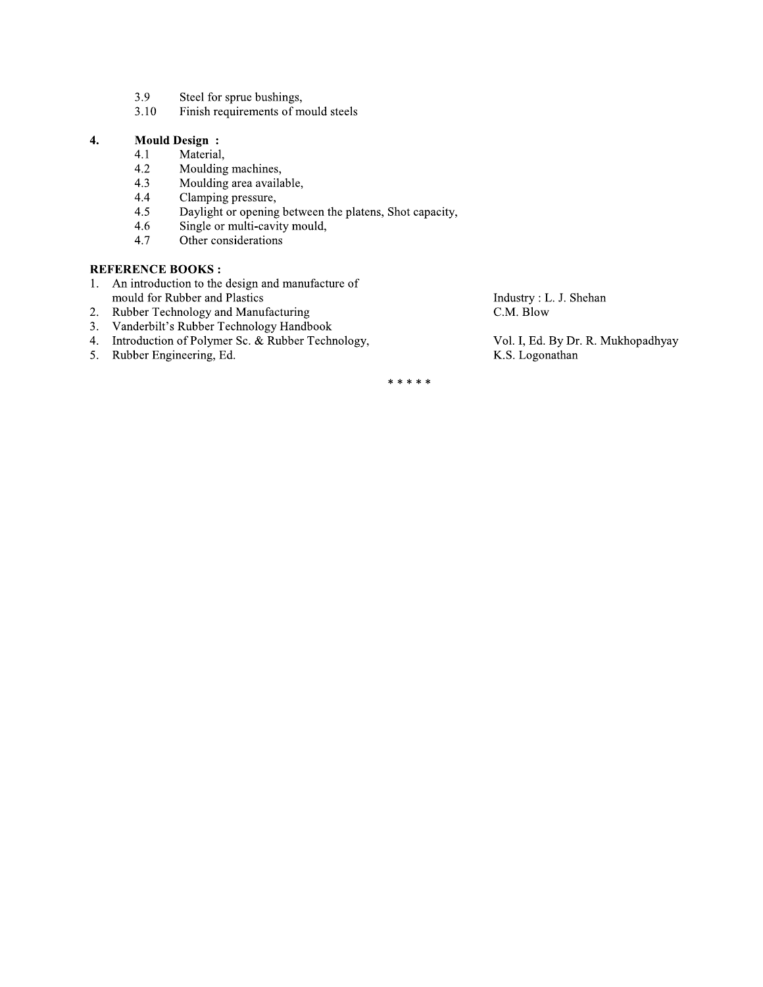- 3.9 Steel for sprue bushings,
- $3.10$ Finish requirements of mould steels

### $\overline{4}$ . **Mould Design:**

- 4.1 Material,
- 4.2 Moulding machines,
- 4.3 Moulding area available,
- Clamping pressure, 4.4
- $4.5$ Daylight or opening between the platens, Shot capacity,
- 4.6 Single or multi-cavity mould,
- 4.7 Other considerations

### **REFERENCE BOOKS:**

- 1. An introduction to the design and manufacture of mould for Rubber and Plastics
- Rubber Technology and Manufacturing 2.
- 3. Vanderbilt's Rubber Technology Handbook
- 4. Introduction of Polymer Sc. & Rubber Technology,
- 5. Rubber Engineering, Ed.

Industry: L. J. Shehan C.M. Blow

Vol. I, Ed. By Dr. R. Mukhopadhyay K.S. Logonathan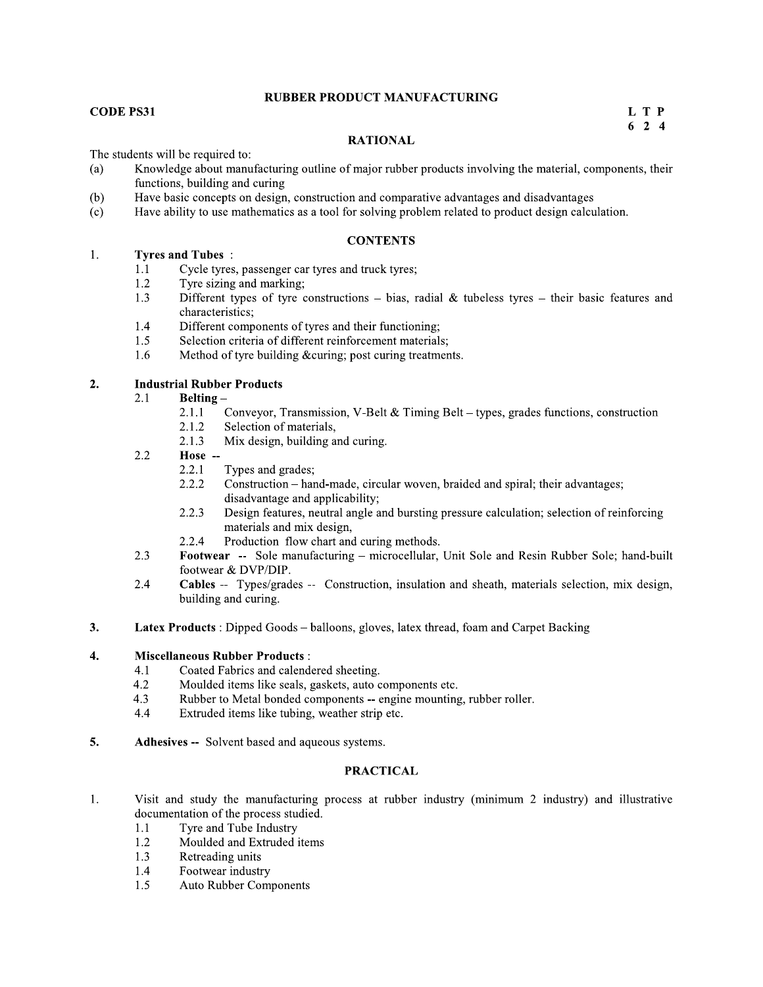### **RUBBER PRODUCT MANUFACTURING**

### **CODE PS31**

L T P  $624$ 

### **RATIONAL**

The students will be required to:

- Knowledge about manufacturing outline of major rubber products involving the material, components, their  $(a)$ functions, building and curing
- $(b)$ Have basic concepts on design, construction and comparative advantages and disadvantages
- $(c)$ Have ability to use mathematics as a tool for solving problem related to product design calculation.

### **CONTENTS**

#### 1. **Tyres and Tubes:**

- Cycle tyres, passenger car tyres and truck tyres;  $1.1$
- 1.2 Tyre sizing and marking:
- $1.3$ Different types of tyre constructions – bias, radial & tubeless tyres – their basic features and characteristics:
- $1.4$ Different components of tyres and their functioning;
- 1.5 Selection criteria of different reinforcement materials;
- 1.6 Method of tyre building & curing; post curing treatments.

#### $2.$ **Industrial Rubber Products**

- **Belting-**2.1
	- $2.1.1$ Conveyor, Transmission, V-Belt & Timing Belt - types, grades functions, construction
	- 2.1.2 Selection of materials,
	- Mix design, building and curing.  $2.1.3$
- Hose --2.2
	- 2.2.1 Types and grades;
	- 2.2.2 Construction – hand-made, circular woven, braided and spiral; their advantages; disadvantage and applicability;
	- 2.2.3 Design features, neutral angle and bursting pressure calculation; selection of reinforcing materials and mix design,
	- $2.2.4$ Production flow chart and curing methods.
- 2.3 Footwear -- Sole manufacturing – microcellular, Unit Sole and Resin Rubber Sole; hand-built footwear & DVP/DIP.
- 2.4 Cables -- Types/grades -- Construction, insulation and sheath, materials selection, mix design, building and curing.
- Latex Products : Dipped Goods balloons, gloves, latex thread, foam and Carpet Backing 3.

#### $4.$ **Miscellaneous Rubber Products:**

- Coated Fabrics and calendered sheeting.  $4.1$
- $4.2$ Moulded items like seals, gaskets, auto components etc.
- 4.3 Rubber to Metal bonded components -- engine mounting, rubber roller.
- 4.4 Extruded items like tubing, weather strip etc.
- 5. Adhesives -- Solvent based and aqueous systems.

- Visit and study the manufacturing process at rubber industry (minimum 2 industry) and illustrative 1. documentation of the process studied.
	- Tyre and Tube Industry 1.1
	- 1.2 Moulded and Extruded items
	- 1.3 Retreading units
	- Footwear industry 1.4
	- 1.5 **Auto Rubber Components**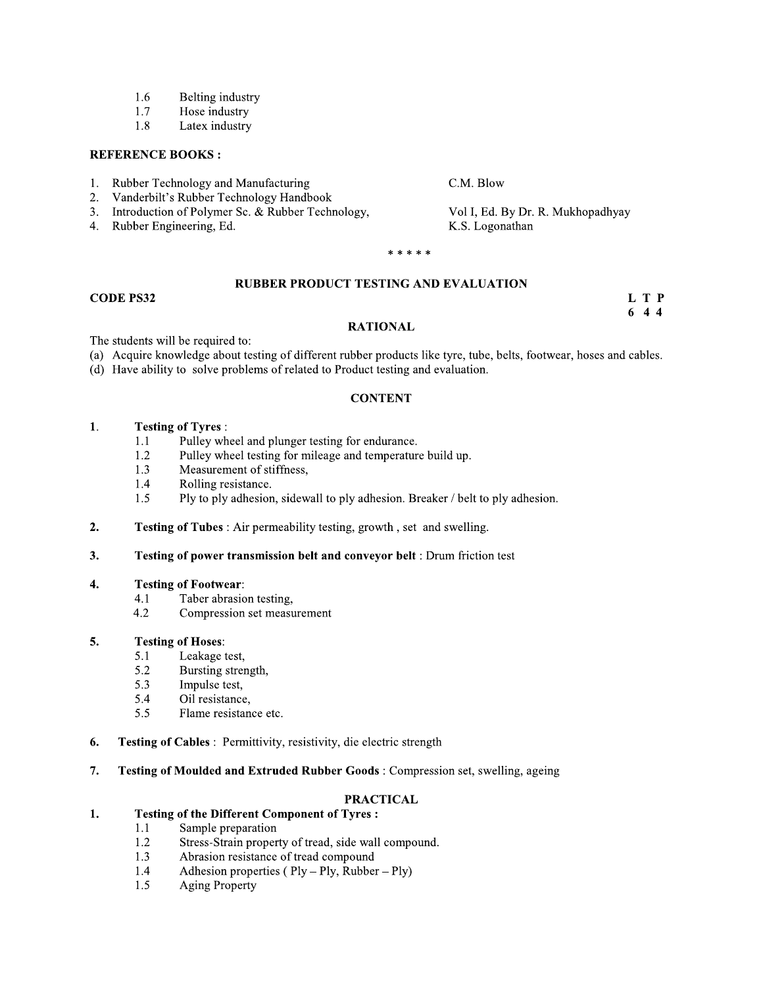- 1.6 Belting industry
- 1.7 Hose industry
- 1.8 Latex industry

- $1.$ Rubber Technology and Manufacturing
- Vanderbilt's Rubber Technology Handbook 2.
- $3.$ Introduction of Polymer Sc. & Rubber Technology,
- 4. Rubber Engineering, Ed.

C.M. Blow

Vol I, Ed. By Dr. R. Mukhopadhyay K.S. Logonathan

\* \* \* \* \*

### **RUBBER PRODUCT TESTING AND EVALUATION**

### **CODE PS32**

L T P  $644$ 

### **RATIONAL**

The students will be required to:

- (a) Acquire knowledge about testing of different rubber products like tyre, tube, belts, footwear, hoses and cables.
- (d) Have ability to solve problems of related to Product testing and evaluation.

### **CONTENT**

#### $1.$ **Testing of Tyres:**

- Pulley wheel and plunger testing for endurance.  $1.1$
- Pulley wheel testing for mileage and temperature build up. 1.2
- $1.3$ Measurement of stiffness,
- 1.4 Rolling resistance.
- 1.5 Ply to ply adhesion, sidewall to ply adhesion. Breaker / belt to ply adhesion.
- $2.$ Testing of Tubes: Air permeability testing, growth, set and swelling.
- $3.$ Testing of power transmission belt and conveyor belt : Drum friction test

#### $\overline{4}$ . **Testing of Footwear:**

- Taber abrasion testing.  $4.1$
- $4.2$ Compression set measurement

#### 5. **Testing of Hoses:**

- $5.1$ Leakage test,
- 5.2 Bursting strength,
- 5.3 Impulse test,
- 5.4 Oil resistance,
- 5.5 Flame resistance etc.
- Testing of Cables : Permittivity, resistivity, die electric strength 6.
- 7. Testing of Moulded and Extruded Rubber Goods: Compression set, swelling, ageing

### **PRACTICAL**

#### **Testing of the Different Component of Tyres:** 1.

- Sample preparation  $1.1$
- 1.2 Stress-Strain property of tread, side wall compound.
- Abrasion resistance of tread compound 1.3
- Adhesion properties ( $Ply Ply$ , Rubber  $Ply$ ) 1.4
- 1.5 **Aging Property**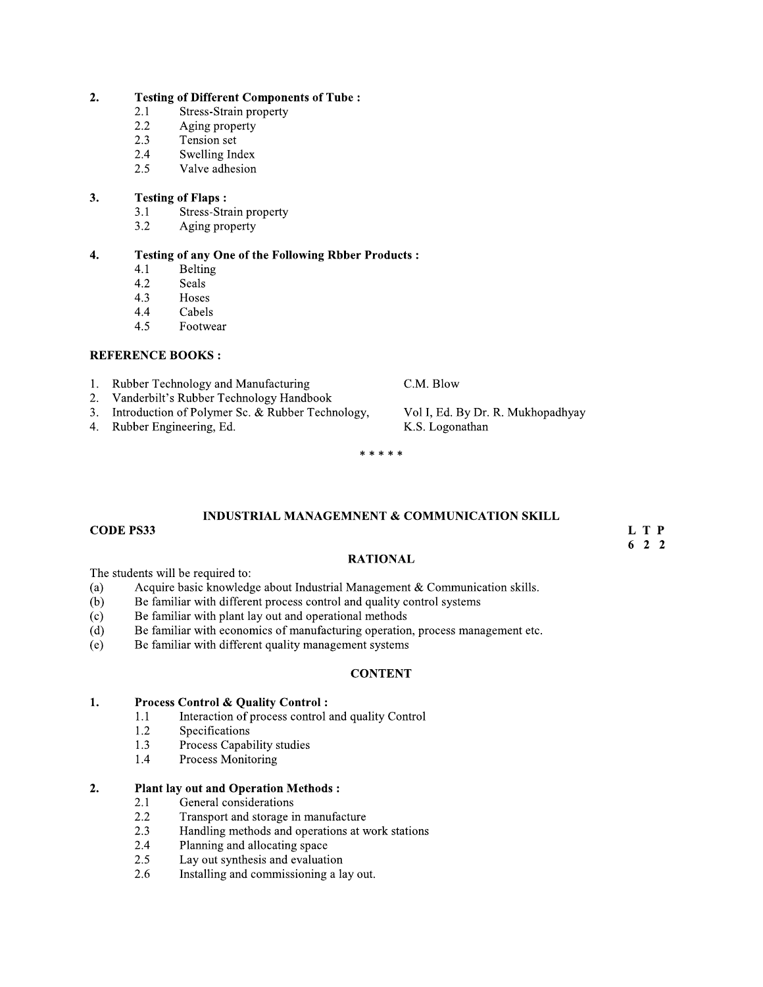#### $2.$ **Testing of Different Components of Tube:**

- 2.1 **Stress-Strain property**
- $2.2$ Aging property
- $2.3$ Tension set
- 2.4 Swelling Index
- 2.5 Valve adhesion

#### $3.$ **Testing of Flaps:**

- $3.1$ Stress-Strain property
- $3.2$ Aging property

#### $\boldsymbol{4}$ . **Testing of any One of the Following Rbber Products:**

- **Belting**  $4.1$
- 4.2 Seals
- $4.3$ Hoses
- $4.4$ Cabels
- $4.5$ Footwear

### **REFERENCE BOOKS:**

- 1. Rubber Technology and Manufacturing
- Vanderbilt's Rubber Technology Handbook  $2.$
- Introduction of Polymer Sc. & Rubber Technology,  $3.$
- 4. Rubber Engineering, Ed.

Vol I, Ed. By Dr. R. Mukhopadhyay

K.S. Logonathan

C.M. Blow

\* \* \* \* \*

### **INDUSTRIAL MANAGEMNENT & COMMUNICATION SKILL**

### **CODE PS33**

L T P  $622$ 

### **RATIONAL**

The students will be required to:

- Acquire basic knowledge about Industrial Management & Communication skills.  $(a)$
- Be familiar with different process control and quality control systems  $(b)$
- $(c)$ Be familiar with plant lay out and operational methods
- Be familiar with economics of manufacturing operation, process management etc.  $(d)$
- $(e)$ Be familiar with different quality management systems

### **CONTENT**

#### $1.$ **Process Control & Quality Control:**

- Interaction of process control and quality Control  $1.1$
- 1.2 Specifications
- Process Capability studies 1.3
- 1.4 Process Monitoring

#### $2.$ **Plant lay out and Operation Methods:**

- General considerations 2.1
- $2.2$ Transport and storage in manufacture
- Handling methods and operations at work stations 2.3
- Planning and allocating space 2.4
- $2.5$ Lay out synthesis and evaluation
- 2.6 Installing and commissioning a lay out.